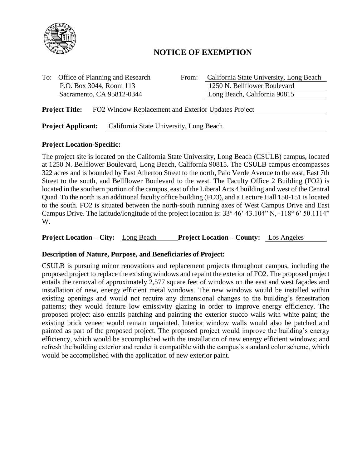

# **NOTICE OF EXEMPTION**

To: Office of Planning and Research From: California State University, Long Beach P.O. Box 3044, Room 113 1250 N. Bellflower Boulevard Sacramento, CA 95812-0344 Long Beach, California 90815

**Project Title:** FO2 Window Replacement and Exterior Updates Project

**Project Applicant:** California State University, Long Beach

#### **Project Location-Specific:**

The project site is located on the California State University, Long Beach (CSULB) campus, located at 1250 N. Bellflower Boulevard, Long Beach, California 90815. The CSULB campus encompasses 322 acres and is bounded by East Atherton Street to the north, Palo Verde Avenue to the east, East 7th Street to the south, and Bellflower Boulevard to the west. The Faculty Office 2 Building (FO2) is located in the southern portion of the campus, east of the Liberal Arts 4 building and west of the Central Quad. To the north is an additional faculty office building (FO3), and a Lecture Hall 150-151 is located to the south. FO2 is situated between the north-south running axes of West Campus Drive and East Campus Drive. The latitude/longitude of the project location is: 33° 46' 43.104" N, -118° 6' 50.1114" W.

**Project Location – City:** Long Beach **Project Location – County:** Los Angeles

## **Description of Nature, Purpose, and Beneficiaries of Project:**

CSULB is pursuing minor renovations and replacement projects throughout campus, including the proposed project to replace the existing windows and repaint the exterior of FO2. The proposed project entails the removal of approximately 2,577 square feet of windows on the east and west façades and installation of new, energy efficient metal windows. The new windows would be installed within existing openings and would not require any dimensional changes to the building's fenestration patterns; they would feature low emissivity glazing in order to improve energy efficiency. The proposed project also entails patching and painting the exterior stucco walls with white paint; the existing brick veneer would remain unpainted. Interior window walls would also be patched and painted as part of the proposed project. The proposed project would improve the building's energy efficiency, which would be accomplished with the installation of new energy efficient windows; and refresh the building exterior and render it compatible with the campus's standard color scheme, which would be accomplished with the application of new exterior paint.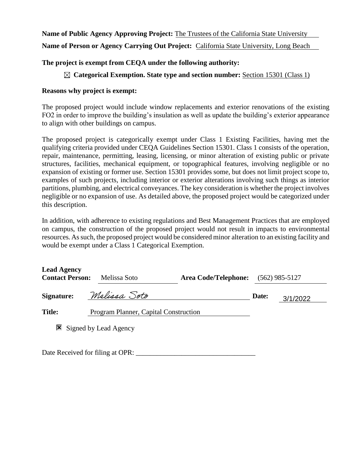#### **Name of Public Agency Approving Project:** The Trustees of the California State University

**Name of Person or Agency Carrying Out Project:** California State University, Long Beach

#### **The project is exempt from CEQA under the following authority:**

#### **Categorical Exemption. State type and section number:** Section 15301 (Class 1)

#### **Reasons why project is exempt:**

The proposed project would include window replacements and exterior renovations of the existing FO2 in order to improve the building's insulation as well as update the building's exterior appearance to align with other buildings on campus.

The proposed project is categorically exempt under Class 1 Existing Facilities, having met the qualifying criteria provided under CEQA Guidelines Section 15301. Class 1 consists of the operation, repair, maintenance, permitting, leasing, licensing, or minor alteration of existing public or private structures, facilities, mechanical equipment, or topographical features, involving negligible or no expansion of existing or former use. Section 15301 provides some, but does not limit project scope to, examples of such projects, including interior or exterior alterations involving such things as interior partitions, plumbing, and electrical conveyances. The key consideration is whether the project involves negligible or no expansion of use. As detailed above, the proposed project would be categorized under this description.

In addition, with adherence to existing regulations and Best Management Practices that are employed on campus, the construction of the proposed project would not result in impacts to environmental resources. Assuch, the proposed project would be considered minor alteration to an existing facility and would be exempt under a Class 1 Categorical Exemption.

| <b>Lead Agency</b><br><b>Contact Person:</b> |                                       | Melissa Soto          | <b>Area Code/Telephone:</b> |       | $(562)$ 985-5127 |
|----------------------------------------------|---------------------------------------|-----------------------|-----------------------------|-------|------------------|
| <b>Signature:</b>                            |                                       | Melissa Soto          |                             | Date: | 3/1/2022         |
| <b>Title:</b>                                | Program Planner, Capital Construction |                       |                             |       |                  |
| ×                                            |                                       | Signed by Lead Agency |                             |       |                  |

Date Received for filing at OPR: \_\_\_\_\_\_\_\_\_\_\_\_\_\_\_\_\_\_\_\_\_\_\_\_\_\_\_\_\_\_\_\_\_\_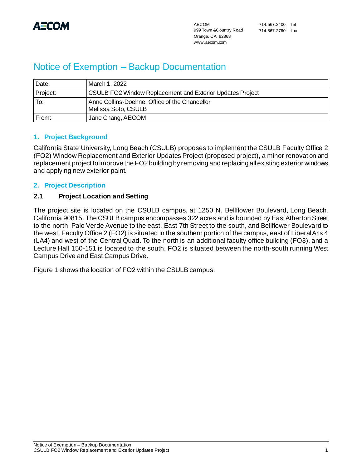

# Notice of Exemption – Backup Documentation

| Date:    | March 1, 2022                                                        |
|----------|----------------------------------------------------------------------|
| Project: | <b>CSULB FO2 Window Replacement and Exterior Updates Project</b>     |
| To:      | Anne Collins-Doehne, Office of the Chancellor<br>Melissa Soto, CSULB |
| From:    | Jane Chang, AECOM                                                    |

## **1. Project Background**

California State University, Long Beach (CSULB) proposes to implement the CSULB Faculty Office 2 (FO2) Window Replacement and Exterior Updates Project (proposed project), a minor renovation and replacement project to improve the FO2 building by removing and replacing all existing exterior windows and applying new exterior paint.

# **2. Project Description**

## **2.1 Project Location and Setting**

The project site is located on the CSULB campus, at 1250 N. Bellflower Boulevard, Long Beach, California 90815. The CSULB campus encompasses 322 acres and is bounded by East Atherton Street to the north, Palo Verde Avenue to the east, East 7th Street to the south, and Bellflower Boulevard to the west. Faculty Office 2 (FO2) is situated in the southern portion of the campus, east of Liberal Arts 4 (LA4) and west of the Central Quad. To the north is an additional faculty office building (FO3), and a Lecture Hall 150-151 is located to the south. FO2 is situated between the north-south running West Campus Drive and East Campus Drive.

Figure 1 shows the location of FO2 within the CSULB campus.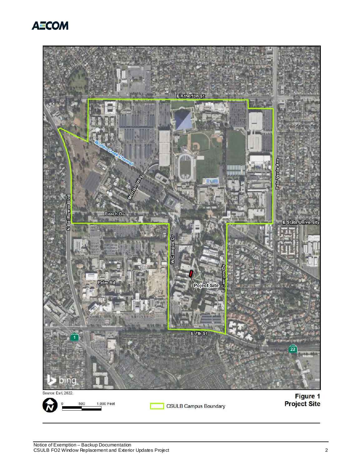

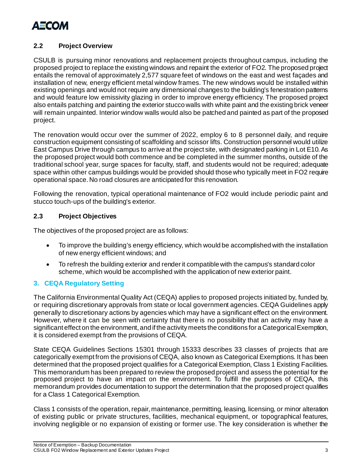

## **2.2 Project Overview**

CSULB is pursuing minor renovations and replacement projects throughout campus, including the proposed project to replace the existing windows and repaint the exterior of FO2. The proposed project entails the removal of approximately 2,577 square feet of windows on the east and west façades and installation of new, energy efficient metal window frames. The new windows would be installed within existing openings and would not require any dimensional changes to the building's fenestration patterns and would feature low emissivity glazing in order to improve energy efficiency. The proposed project also entails patching and painting the exterior stucco walls with white paint and the existing brick veneer will remain unpainted. Interior window walls would also be patched and painted as part of the proposed project.

The renovation would occur over the summer of 2022, employ 6 to 8 personnel daily, and require construction equipment consisting of scaffolding and scissor lifts. Construction personnel would utilize East Campus Drive through campus to arrive at the project site, with designated parking in Lot E10. As the proposed project would both commence and be completed in the summer months, outside of the traditional school year, surge spaces for faculty, staff, and students would not be required; adequate space within other campus buildings would be provided should those who typically meet in FO2 require operational space. No road closures are anticipated for this renovation.

Following the renovation, typical operational maintenance of FO2 would include periodic paint and stucco touch-ups of the building's exterior.

## **2.3 Project Objectives**

The objectives of the proposed project are as follows:

- To improve the building's energy efficiency, which would be accomplished with the installation of new energy efficient windows; and
- To refresh the building exterior and render it compatible with the campus's standard color scheme, which would be accomplished with the application of new exterior paint.

## **3. CEQA Regulatory Setting**

The California Environmental Quality Act (CEQA) applies to proposed projects initiated by, funded by, or requiring discretionary approvals from state or local government agencies. CEQA Guidelines apply generally to discretionary actions by agencies which may have a significant effect on the environment. However, where it can be seen with certainty that there is no possibility that an activity may have a significant effect on the environment, and if the activity meets the conditions for a Categorical Exemption, it is considered exempt from the provisions of CEQA.

State CEQA Guidelines Sections 15301 through 15333 describes 33 classes of projects that are categorically exempt from the provisions of CEQA, also known as Categorical Exemptions. It has been determined that the proposed project qualifies for a Categorical Exemption, Class 1 Existing Facilities. This memorandum has been prepared to review the proposed project and assess the potential for the proposed project to have an impact on the environment. To fulfill the purposes of CEQA, this memorandum provides documentation to support the determination that the proposed project qualifies for a Class 1 Categorical Exemption.

Class 1 consists of the operation, repair, maintenance, permitting, leasing, licensing, or minor alteration of existing public or private structures, facilities, mechanical equipment, or topographical features, involving negligible or no expansion of existing or former use. The key consideration is whether the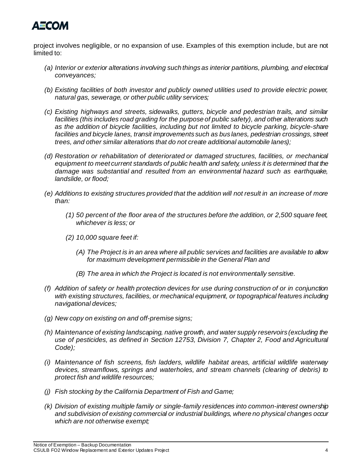

project involves negligible, or no expansion of use. Examples of this exemption include, but are not limited to:

- *(a) Interior or exterior alterations involving such things as interior partitions, plumbing, and electrical conveyances;*
- *(b) Existing facilities of both investor and publicly owned utilities used to provide electric power, natural gas, sewerage, or other public utility services;*
- *(c) Existing highways and streets, sidewalks, gutters, bicycle and pedestrian trails, and similar facilities (this includes road grading for the purpose of public safety), and other alterations such*  as the addition of bicycle facilities, including but not limited to bicycle parking, bicycle-share *facilities and bicycle lanes, transit improvements such as bus lanes, pedestrian crossings, street trees, and other similar alterations that do not create additional automobile lanes);*
- *(d) Restoration or rehabilitation of deteriorated or damaged structures, facilities, or mechanical equipment to meet current standards of public health and safety, unless it is determined that the damage was substantial and resulted from an environmental hazard such as earthquake, landslide, or flood;*
- *(e) Additions to existing structures provided that the addition will not result in an increase of more than:* 
	- *(1) 50 percent of the floor area of the structures before the addition, or 2,500 square feet, whichever is less; or*
	- *(2) 10,000 square feet if:* 
		- *(A) The Project is in an area where all public services and facilities are available to allow for maximum development permissible in the General Plan and*
		- *(B) The area in which the Project is located is not environmentally sensitive.*
- *(f) Addition of safety or health protection devices for use during construction of or in conjunction with existing structures, facilities, or mechanical equipment, or topographical features including navigational devices;*
- *(g) New copy on existing on and off-premise signs;*
- *(h) Maintenance of existing landscaping, native growth, and water supply reservoirs (excluding the use of pesticides, as defined in Section 12753, Division 7, Chapter 2, Food and Agricultural Code);*
- *(i) Maintenance of fish screens, fish ladders, wildlife habitat areas, artificial wildlife waterway devices, streamflows, springs and waterholes, and stream channels (clearing of debris) to protect fish and wildlife resources;*
- *(j) Fish stocking by the California Department of Fish and Game;*
- *(k) Division of existing multiple family or single-family residences into common-interest ownership and subdivision of existing commercial or industrial buildings, where no physical changes occur which are not otherwise exempt;*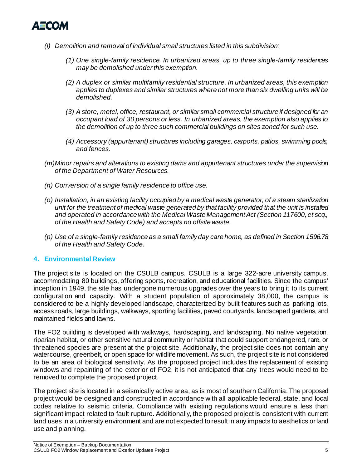

- *(l) Demolition and removal of individual small structures listed in this subdivision:* 
	- *(1) One single-family residence. In urbanized areas, up to three single-family residences may be demolished under this exemption.*
	- *(2) A duplex or similar multifamily residential structure. In urbanized areas, this exemption applies to duplexes and similar structures where not more than six dwelling units will be demolished.*
	- *(3) A store, motel, office, restaurant, or similar small commercial structure if designed for an occupant load of 30 persons or less. In urbanized areas, the exemption also applies to the demolition of up to three such commercial buildings on sites zoned for such use.*
	- *(4) Accessory (appurtenant) structures including garages, carports, patios, swimming pools, and fences.*
- *(m)Minor repairs and alterations to existing dams and appurtenant structures under the supervision of the Department of Water Resources.*
- *(n) Conversion of a single family residence to office use.*
- *(o) Installation, in an existing facility occupied by a medical waste generator, of a steam sterilization unit for the treatment of medical waste generated by that facility provided that the unit is installed and operated in accordance with the Medical Waste Management Act (Section 117600, et seq., of the Health and Safety Code) and accepts no offsite waste.*
- *(p) Use of a single-family residence as a small family day care home, as defined in Section 1596.78 of the Health and Safety Code.*

#### **4. Environmental Review**

The project site is located on the CSULB campus. CSULB is a large 322-acre university campus, accommodating 80 buildings, offering sports, recreation, and educational facilities. Since the campus' inception in 1949, the site has undergone numerous upgrades over the years to bring it to its current configuration and capacity. With a student population of approximately 38,000, the campus is considered to be a highly developed landscape, characterized by built features such as parking lots, access roads, large buildings, walkways, sporting facilities, paved courtyards, landscaped gardens, and maintained fields and lawns.

The FO2 building is developed with walkways, hardscaping, and landscaping. No native vegetation, riparian habitat, or other sensitive natural community or habitat that could support endangered, rare, or threatened species are present at the project site. Additionally, the project site does not contain any watercourse, greenbelt, or open space for wildlife movement. As such, the project site is not considered to be an area of biological sensitivity. As the proposed project includes the replacement of existing windows and repainting of the exterior of FO2, it is not anticipated that any trees would need to be removed to complete the proposed project.

The project site is located in a seismically active area, as is most of southern California. The proposed project would be designed and constructed in accordance with all applicable federal, state, and local codes relative to seismic criteria. Compliance with existing regulations would ensure a less than significant impact related to fault rupture. Additionally, the proposed project is consistent with current land uses in a university environment and are not expected to result in any impacts to aesthetics or land use and planning.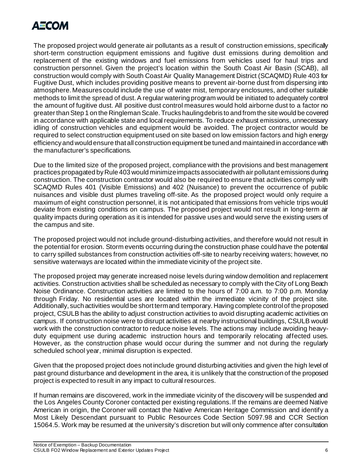

The proposed project would generate air pollutants as a result of construction emissions, specifically short-term construction equipment emissions and fugitive dust emissions during demolition and replacement of the existing windows and fuel emissions from vehicles used for haul trips and construction personnel. Given the project's location within the South Coast Air Basin (SCAB), all construction would comply with South Coast Air Quality Management District (SCAQMD) Rule 403 for Fugitive Dust, which includes providing positive means to prevent air-borne dust from dispersing into atmosphere. Measures could include the use of water mist, temporary enclosures, and other suitable methods to limit the spread of dust. A regular watering program would be initiated to adequately control the amount of fugitive dust. All positive dust control measures would hold airborne dust to a factor no greater than Step 1 on the Ringleman Scale. Trucks hauling debris to and from the site would be covered in accordance with applicable state and local requirements. To reduce exhaust emissions, unnecessary idling of construction vehicles and equipment would be avoided. The project contractor would be required to select construction equipment used on site based on low emission factors and high energy efficiency and would ensure that all construction equipment be tuned and maintained in accordance with the manufacturer's specifications.

Due to the limited size of the proposed project, compliance with the provisions and best management practices propagated by Rule 403 would minimize impacts associated with air pollutant emissions during construction. The construction contractor would also be required to ensure that activities comply with SCAQMD Rules 401 (Visible Emissions) and 402 (Nuisance) to prevent the occurrence of public nuisances and visible dust plumes traveling off-site. As the proposed project would only require a maximum of eight construction personnel, it is not anticipated that emissions from vehicle trips would deviate from existing conditions on campus. The proposed project would not result in long-term air quality impacts during operation as it is intended for passive uses and would serve the existing users of the campus and site.

The proposed project would not include ground-disturbing activities, and therefore would not result in the potential for erosion. Storm events occurring during the construction phase could have the potential to carry spilled substances from construction activities off-site to nearby receiving waters; however, no sensitive waterways are located within the immediate vicinity of the project site.

The proposed project may generate increased noise levels during window demolition and replacement activities. Construction activities shall be scheduled as necessary to comply with the City of Long Beach Noise Ordinance. Construction activities are limited to the hours of 7:00 a.m. to 7:00 p.m. Monday through Friday. No residential uses are located within the immediate vicinity of the project site. Additionally, such activities would be short term and temporary. Having complete control of the proposed project, CSULB has the ability to adjust construction activities to avoid disrupting academic activities on campus. If construction noise were to disrupt activities at nearby instructional buildings, CSULB would work with the construction contractor to reduce noise levels. The actions may include avoiding heavyduty equipment use during academic instruction hours and temporarily relocating affected uses. However, as the construction phase would occur during the summer and not during the regularly scheduled school year, minimal disruption is expected.

Given that the proposed project does not include ground disturbing activities and given the high level of past ground disturbance and development in the area, it is unlikely that the construction of the proposed project is expected to result in any impact to cultural resources.

If human remains are discovered, work in the immediate vicinity of the discovery will be suspended and the Los Angeles County Coroner contacted per existing regulations. If the remains are deemed Native American in origin, the Coroner will contact the Native American Heritage Commission and identify a Most Likely Descendant pursuant to Public Resources Code Section 5097.98 and CCR Section 15064.5. Work may be resumed at the university's discretion but will only commence after consultation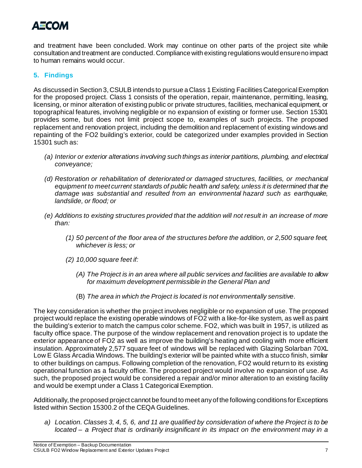# АЕСОМ

and treatment have been concluded. Work may continue on other parts of the project site while consultation and treatment are conducted. Compliance with existing regulations would ensure no impact to human remains would occur.

# **5. Findings**

As discussed in Section 3, CSULB intends to pursue a Class 1Existing Facilities Categorical Exemption for the proposed project. Class 1 consists of the operation, repair, maintenance, permitting, leasing, licensing, or minor alteration of existing public or private structures, facilities, mechanical equipment, or topographical features, involving negligible or no expansion of existing or former use. Section 15301 provides some, but does not limit project scope to, examples of such projects. The proposed replacement and renovation project, including the demolition and replacement of existing windows and repainting of the FO2 building's exterior, could be categorized under examples provided in Section 15301 such as:

- *(a) Interior or exterior alterations involving such things as interior partitions, plumbing, and electrical conveyance;*
- *(d) Restoration or rehabilitation of deteriorated or damaged structures, facilities, or mechanical equipment to meet current standards of public health and safety, unless it is determined that the damage was substantial and resulted from an environmental hazard such as earthquake, landslide, or flood; or*
- *(e) Additions to existing structures provided that the addition will not result in an increase of more than:* 
	- *(1) 50 percent of the floor area of the structures before the addition, or 2,500 square feet, whichever is less; or*
	- *(2) 10,000 square feet if:* 
		- *(A) The Project is in an area where all public services and facilities are available to allow for maximum development permissible in the General Plan and*
		- (B) *The area in which the Project is located is not environmentally sensitive*.

The key consideration is whether the project involves negligible or no expansion of use. The proposed project would replace the existing operable windows of FO2 with a like-for-like system, as well as paint the building's exterior to match the campus color scheme. FO2, which was built in 1957, is utilized as faculty office space. The purpose of the window replacement and renovation project is to update the exterior appearance of FO2 as well as improve the building's heating and cooling with more efficient insulation. Approximately 2,577 square feet of windows will be replaced with Glazing Solarban 70XL Low E Glass Arcadia Windows. The building's exterior will be painted white with a stucco finish, similar to other buildings on campus. Following completion of the renovation, FO2 would return to its existing operational function as a faculty office. The proposed project would involve no expansion of use. As such, the proposed project would be considered a repair and/or minor alteration to an existing facility and would be exempt under a Class 1 Categorical Exemption.

Additionally, the proposed project cannot be found to meet any of the following conditions for Exceptions listed within Section 15300.2 of the CEQA Guidelines.

*a) Location. Classes 3, 4, 5, 6, and 11 are qualified by consideration of where the Project is to be located – a Project that is ordinarily insignificant in its impact on the environment may in a*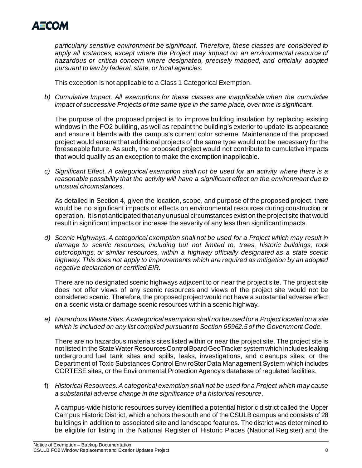

*particularly sensitive environment be significant. Therefore, these classes are considered to apply all instances, except where the Project may impact on an environmental resource of hazardous or critical concern where designated, precisely mapped, and officially adopted pursuant to law by federal, state, or local agencies.*

This exception is not applicable to a Class 1 Categorical Exemption.

*b) Cumulative Impact. All exemptions for these classes are inapplicable when the cumulative impact of successive Projects of the same type in the same place, over time is significant.*

The purpose of the proposed project is to improve building insulation by replacing existing windows in the FO2 building, as well as repaint the building's exterior to update its appearance and ensure it blends with the campus's current color scheme. Maintenance of the proposed project would ensure that additional projects of the same type would not be necessary for the foreseeable future. As such, the proposed project would not contribute to cumulative impacts that would qualify as an exception to make the exemption inapplicable.

*c) Significant Effect. A categorical exemption shall not be used for an activity where there is a reasonable possibility that the activity will have a significant effect on the environment due to unusual circumstances.*

As detailed in Section 4, given the location, scope, and purpose of the proposed project, there would be no significant impacts or effects on environmental resources during construction or operation. It is not anticipated that any unusual circumstances exist on the project site that would result in significant impacts or increase the severity of any less than significant impacts.

*d) Scenic Highways. A categorical exemption shall not be used for a Project which may result in damage to scenic resources, including but not limited to, trees, historic buildings, rock outcroppings, or similar resources, within a highway officially designated as a state scenic highway. This does not apply to improvements which are required as mitigation by an adopted negative declaration or certified EIR.* 

There are no designated scenic highways adjacent to or near the project site. The project site does not offer views of any scenic resources and views of the project site would not be considered scenic. Therefore, the proposed project would not have a substantial adverse effect on a scenic vista or damage scenic resources within a scenic highway.

*e) Hazardous Waste Sites. A categorical exemption shall not be used for a Project located on a site which is included on any list compiled pursuant to Section 65962.5 of the Government Code.*

There are no hazardous materials sites listed within or near the project site. The project site is not listed in the State Water Resources Control Board GeoTracker system which includes leaking underground fuel tank sites and spills, leaks, investigations, and cleanups sites; or the Department of Toxic Substances Control EnviroStor Data Management System which includes CORTESE sites, or the Environmental Protection Agency's database of regulated facilities.

f) *Historical Resources. A categorical exemption shall not be used for a Project which may cause a substantial adverse change in the significance of a historical resource*.

A campus-wide historic resources survey identified a potential historic district called the Upper Campus Historic District, which anchors the south end of the CSULB campus and consists of 28 buildings in addition to associated site and landscape features. The district was determined to be eligible for listing in the National Register of Historic Places (National Register) and the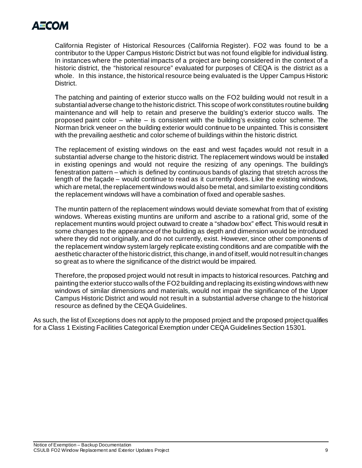

California Register of Historical Resources (California Register). FO2 was found to be a contributor to the Upper Campus Historic District but was not found eligible for individual listing. In instances where the potential impacts of a project are being considered in the context of a historic district, the "historical resource" evaluated for purposes of CEQA is the district as a whole. In this instance, the historical resource being evaluated is the Upper Campus Historic District.

The patching and painting of exterior stucco walls on the FO2 building would not result in a substantial adverse change to the historic district. This scope of work constitutes routine building maintenance and will help to retain and preserve the building's exterior stucco walls. The proposed paint color – white – is consistent with the building's existing color scheme. The Norman brick veneer on the building exterior would continue to be unpainted. This is consistent with the prevailing aesthetic and color scheme of buildings within the historic district.

The replacement of existing windows on the east and west façades would not result in a substantial adverse change to the historic district. The replacement windows would be installed in existing openings and would not require the resizing of any openings. The building's fenestration pattern – which is defined by continuous bands of glazing that stretch across the length of the façade – would continue to read as it currently does. Like the existing windows, which are metal, the replacement windows would also be metal, and similar to existing conditions the replacement windows will have a combination of fixed and operable sashes.

The muntin pattern of the replacement windows would deviate somewhat from that of existing windows. Whereas existing muntins are uniform and ascribe to a rational grid, some of the replacement muntins would project outward to create a "shadow box" effect. This would result in some changes to the appearance of the building as depth and dimension would be introduced where they did not originally, and do not currently, exist. However, since other components of the replacement window system largely replicate existing conditions and are compatible with the aesthetic character of the historic district, this change, in and of itself, would not result in changes so great as to where the significance of the district would be impaired.

Therefore, the proposed project would not result in impacts to historical resources. Patching and painting the exterior stucco walls of the FO2 building and replacing its existing windows with new windows of similar dimensions and materials, would not impair the significance of the Upper Campus Historic District and would not result in a substantial adverse change to the historical resource as defined by the CEQA Guidelines.

As such, the list of Exceptions does not apply to the proposed project and the proposed project qualifies for a Class 1 Existing Facilities Categorical Exemption under CEQA Guidelines Section 15301.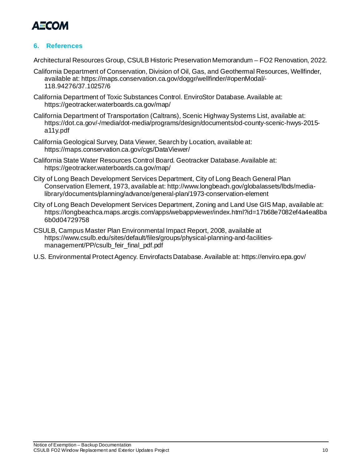

# **6. References**

Architectural Resources Group, CSULB Historic Preservation Memorandum – FO2 Renovation, 2022.

- California Department of Conservation, Division of Oil, Gas, and Geothermal Resources, Wellfinder, available at: https://maps.conservation.ca.gov/doggr/wellfinder/#openModal/- 118.94276/37.10257/6
- California Department of Toxic Substances Control. EnviroStor Database.Available at: https://geotracker.waterboards.ca.gov/map/
- California Department of Transportation (Caltrans), Scenic Highway Systems List, available at: https://dot.ca.gov/-/media/dot-media/programs/design/documents/od-county-scenic-hwys-2015 a11y.pdf
- California Geological Survey, Data Viewer, Search by Location, available at: https://maps.conservation.ca.gov/cgs/DataViewer/
- California State Water Resources Control Board. Geotracker Database. Available at: https://geotracker.waterboards.ca.gov/map/
- City of Long Beach Development Services Department, City of Long Beach General Plan Conservation Element, 1973, available at: http://www.longbeach.gov/globalassets/lbds/medialibrary/documents/planning/advance/general-plan/1973-conservation-element
- City of Long Beach Development Services Department, Zoning and Land Use GIS Map, available at: https://longbeachca.maps.arcgis.com/apps/webappviewer/index.html?id=17b68e7082ef4a4ea8ba 6b0d04729758
- CSULB, Campus Master Plan Environmental Impact Report, 2008, available at https://www.csulb.edu/sites/default/files/groups/physical-planning-and-facilitiesmanagement/PP/csulb\_feir\_final\_pdf.pdf
- U.S. Environmental Protect Agency. Envirofacts Database. Available at: https://enviro.epa.gov/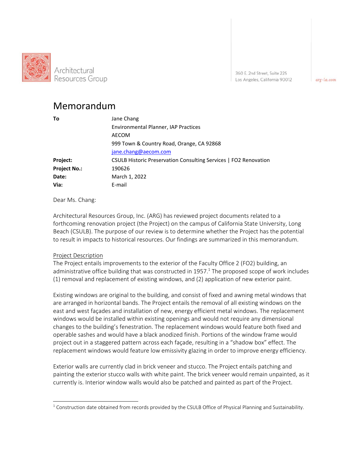

360 E. 2nd Street, Suite 225 Los Angeles, California 90012

arg-la.com

# Memorandum

| Τo                  | Jane Chang                                                       |
|---------------------|------------------------------------------------------------------|
|                     | Environmental Planner, IAP Practices                             |
|                     | AECOM                                                            |
|                     | 999 Town & Country Road, Orange, CA 92868                        |
|                     | jane.chang@aecom.com                                             |
| Project:            | CSULB Historic Preservation Consulting Services   FO2 Renovation |
| <b>Project No.:</b> | 190626                                                           |
| Date:               | March 1, 2022                                                    |
| Via:                | E-mail                                                           |

Dear Ms. Chang:

Architectural Resources Group, Inc. (ARG) has reviewed project documents related to a forthcoming renovation project (the Project) on the campus of California State University, Long Beach (CSULB). The purpose of our review is to determine whether the Project has the potential to result in impacts to historical resources. Our findings are summarized in this memorandum.

#### Project Description

The Project entails improvements to the exterior of the Faculty Office 2 (FO2) building, an administrative office building that was constructed in 1957.<sup>1</sup> The proposed scope of work includes (1) removal and replacement of existing windows, and (2) application of new exterior paint.

Existing windows are original to the building, and consist of fixed and awning metal windows that are arranged in horizontal bands. The Project entails the removal of all existing windows on the east and west façades and installation of new, energy efficient metal windows. The replacement windows would be installed within existing openings and would not require any dimensional changes to the building's fenestration. The replacement windows would feature both fixed and operable sashes and would have a black anodized finish. Portions of the window frame would project out in a staggered pattern across each façade, resulting in a "shadow box" effect. The replacement windows would feature low emissivity glazing in order to improve energy efficiency.

Exterior walls are currently clad in brick veneer and stucco. The Project entails patching and painting the exterior stucco walls with white paint. The brick veneer would remain unpainted, as it currently is. Interior window walls would also be patched and painted as part of the Project.

<sup>&</sup>lt;sup>1</sup> Construction date obtained from records provided by the CSULB Office of Physical Planning and Sustainability.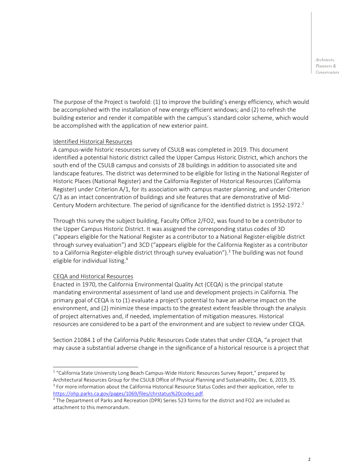The purpose of the Project is twofold: (1) to improve the building's energy efficiency, which would be accomplished with the installation of new energy efficient windows; and (2) to refresh the building exterior and render it compatible with the campus's standard color scheme, which would be accomplished with the application of new exterior paint.

#### Identified Historical Resources

A campus‐wide historic resources survey of CSULB was completed in 2019. This document identified a potential historic district called the Upper Campus Historic District, which anchors the south end of the CSULB campus and consists of 28 buildings in addition to associated site and landscape features. The district was determined to be eligible for listing in the National Register of Historic Places (National Register) and the California Register of Historical Resources (California Register) under Criterion A/1, for its association with campus master planning, and under Criterion C/3 as an intact concentration of buildings and site features that are demonstrative of Mid‐ Century Modern architecture. The period of significance for the identified district is  $1952$ -1972.<sup>2</sup>

Through this survey the subject building, Faculty Office 2/FO2, was found to be a contributor to the Upper Campus Historic District. It was assigned the corresponding status codes of 3D ("appears eligible for the National Register as a contributor to a National Register‐eligible district through survey evaluation") and 3CD ("appears eligible for the California Register as a contributor to a California Register-eligible district through survey evaluation").<sup>3</sup> The building was not found eligible for individual listing.<sup>4</sup>

#### CEQA and Historical Resources

Enacted in 1970, the California Environmental Quality Act (CEQA) is the principal statute mandating environmental assessment of land use and development projects in California. The primary goal of CEQA is to (1) evaluate a project's potential to have an adverse impact on the environment, and (2) minimize these impacts to the greatest extent feasible through the analysis of project alternatives and, if needed, implementation of mitigation measures. Historical resources are considered to be a part of the environment and are subject to review under CEQA.

Section 21084.1 of the California Public Resources Code states that under CEQA, "a project that may cause a substantial adverse change in the significance of a historical resource is a project that

<sup>&</sup>lt;sup>2</sup> "California State University Long Beach Campus-Wide Historic Resources Survey Report," prepared by Architectural Resources Group for the CSULB Office of Physical Planning and Sustainability, Dec. 6, 2019, 35.

<sup>&</sup>lt;sup>3</sup> For more information about the California Historical Resource Status Codes and their application, refer to https://ohp.parks.ca.gov/pages/1069/files/chrstatus%20codes.pdf.

<sup>4</sup> The Department of Parks and Recreation (DPR) Series 523 forms for the district and FO2 are included as attachment to this memorandum.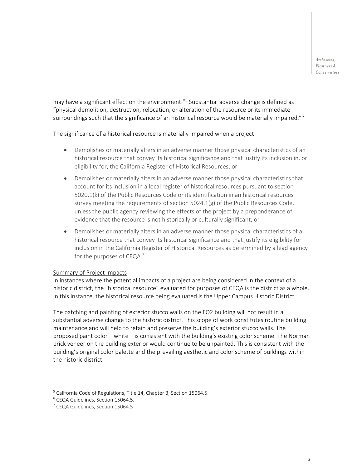may have a significant effect on the environment."<sup>5</sup> Substantial adverse change is defined as "physical demolition, destruction, relocation, or alteration of the resource or its immediate surroundings such that the significance of an historical resource would be materially impaired."<sup>6</sup>

The significance of a historical resource is materially impaired when a project:

- Demolishes or materially alters in an adverse manner those physical characteristics of an historical resource that convey its historical significance and that justify its inclusion in, or eligibility for, the California Register of Historical Resources; or
- Demolishes or materially alters in an adverse manner those physical characteristics that account for its inclusion in a local register of historical resources pursuant to section 5020.1(k) of the Public Resources Code or its identification in an historical resources survey meeting the requirements of section 5024.1(g) of the Public Resources Code, unless the public agency reviewing the effects of the project by a preponderance of evidence that the resource is not historically or culturally significant; or
- Demolishes or materially alters in an adverse manner those physical characteristics of a historical resource that convey its historical significance and that justify its eligibility for inclusion in the California Register of Historical Resources as determined by a lead agency for the purposes of CEQA.<sup>7</sup>

#### Summary of Project Impacts

In instances where the potential impacts of a project are being considered in the context of a historic district, the "historical resource" evaluated for purposes of CEQA is the district as a whole. In this instance, the historical resource being evaluated is the Upper Campus Historic District.

The patching and painting of exterior stucco walls on the FO2 building will not result in a substantial adverse change to the historic district. This scope of work constitutes routine building maintenance and will help to retain and preserve the building's exterior stucco walls. The proposed paint color – white – is consistent with the building's existing color scheme. The Norman brick veneer on the building exterior would continue to be unpainted. This is consistent with the building's original color palette and the prevailing aesthetic and color scheme of buildings within the historic district.

<sup>&</sup>lt;sup>5</sup> California Code of Regulations, Title 14, Chapter 3, Section 15064.5.

<sup>6</sup> CEQA Guidelines, Section 15064.5.

<sup>7</sup> CEQA Guidelines, Section 15064.5